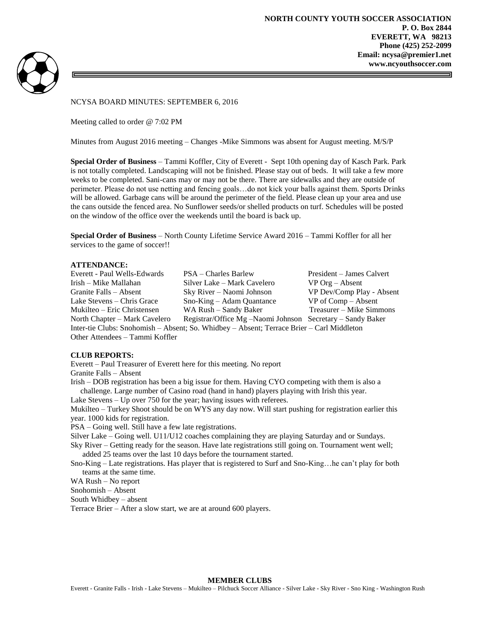



# NCYSA BOARD MINUTES: SEPTEMBER 6, 2016

Meeting called to order @ 7:02 PM

Minutes from August 2016 meeting – Changes -Mike Simmons was absent for August meeting. M/S/P

**Special Order of Business** – Tammi Koffler, City of Everett - Sept 10th opening day of Kasch Park. Park is not totally completed. Landscaping will not be finished. Please stay out of beds. It will take a few more weeks to be completed. Sani-cans may or may not be there. There are sidewalks and they are outside of perimeter. Please do not use netting and fencing goals…do not kick your balls against them. Sports Drinks will be allowed. Garbage cans will be around the perimeter of the field. Please clean up your area and use the cans outside the fenced area. No Sunflower seeds/or shelled products on turf. Schedules will be posted on the window of the office over the weekends until the board is back up.

**Special Order of Business** – North County Lifetime Service Award 2016 – Tammi Koffler for all her services to the game of soccer!!

## **ATTENDANCE:**

| Everett - Paul Wells-Edwards                                                              | PSA – Charles Barlew                                       | President – James Calvert |
|-------------------------------------------------------------------------------------------|------------------------------------------------------------|---------------------------|
| Irish – Mike Mallahan                                                                     | Silver Lake – Mark Cavelero                                | $VP$ Org – Absent         |
| Granite Falls – Absent                                                                    | Sky River – Naomi Johnson                                  | VP Dev/Comp Play - Absent |
| Lake Stevens – Chris Grace                                                                | Sno-King – Adam Quantance                                  | $VP of Comp - Absent$     |
| Mukilteo – Eric Christensen                                                               | WA Rush – Sandy Baker                                      | Treasurer – Mike Simmons  |
| North Chapter - Mark Cavelero                                                             | Registrar/Office Mg -Naomi Johnson Secretary - Sandy Baker |                           |
| Inter-tie Clubs: Snohomish – Absent; So. Whidbey – Absent; Terrace Brier – Carl Middleton |                                                            |                           |
| Other Attendees – Tammi Koffler                                                           |                                                            |                           |

#### **CLUB REPORTS:**

Everett – Paul Treasurer of Everett here for this meeting. No report

Granite Falls – Absent

Irish – DOB registration has been a big issue for them. Having CYO competing with them is also a challenge. Large number of Casino road (hand in hand) players playing with Irish this year.

Lake Stevens – Up over 750 for the year; having issues with referees.

Mukilteo – Turkey Shoot should be on WYS any day now. Will start pushing for registration earlier this year. 1000 kids for registration.

PSA – Going well. Still have a few late registrations.

Silver Lake – Going well. U11/U12 coaches complaining they are playing Saturday and or Sundays.

Sky River – Getting ready for the season. Have late registrations still going on. Tournament went well; added 25 teams over the last 10 days before the tournament started.

Sno-King – Late registrations. Has player that is registered to Surf and Sno-King…he can't play for both teams at the same time.

WA Rush – No report

Snohomish – Absent

South Whidbey – absent

Terrace Brier – After a slow start, we are at around 600 players.